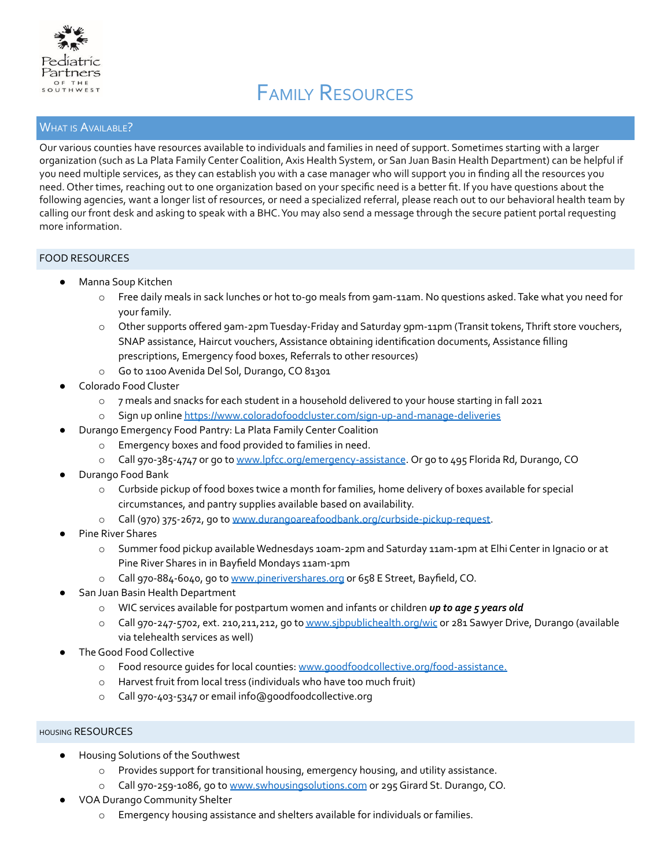

# FAMILY RESOURCES

## WHAT IS AVAILABLE?

Our various counties have resources available to individuals and families in need of support. Sometimes starting with a larger organization (such as La Plata Family Center Coalition, Axis Health System, or San Juan Basin Health Department) can be helpful if you need multiple services, as they can establish you with a case manager who will support you in finding all the resources you need. Other times, reaching out to one organization based on your specific need is a better fit. If you have questions about the following agencies, want a longer list of resources, or need a specialized referral, please reach out to our behavioral health team by calling our front desk and asking to speak with a BHC.You may also send a message through the secure patient portal requesting more information.

### FOOD RESOURCES

- Manna Soup Kitchen
	- o Free daily meals in sack lunches or hot to-go meals from 9am-11am. No questions asked.Take what you need for your family.
	- o Other supports offered 9am-2pmTuesday-Friday and Saturday 9pm-11pm (Transit tokens,Thrift store vouchers, SNAP assistance, Haircut vouchers, Assistance obtaining identification documents, Assistance filling prescriptions, Emergency food boxes, Referrals to other resources)
	- o Go to 1100Avenida Del Sol, Durango, CO 81301
- Colorado Food Cluster
	- o 7 meals and snacks for each student in a household delivered to your house starting in fall 2021
	- o Sign up online <https://www.coloradofoodcluster.com/sign-up-and-manage-deliveries>
- Durango Emergency Food Pantry: La Plata Family Center Coalition
	- o Emergency boxes and food provided to families in need.
	- o Call 970-385-4747 or go to [www.lpfcc.org/emergency-assistance](http://www.lpfcc.org/emergency-assistance). Or go to 495 Florida Rd, Durango, CO
- Durango Food Bank
	- o Curbside pickup of food boxes twice a month for families, home delivery of boxes available for special circumstances, and pantry supplies available based on availability.
	- o Call (970) 375-2672, go to [www.durangoareafoodbank.org/curbside-pickup-request.](http://www.durangoareafoodbank.org/curbside-pickup-request)
- **Pine River Shares** 
	- o Summer food pickup availableWednesdays 10am-2pm and Saturday 11am-1pm at Elhi Center in Ignacio or at Pine River Shares in in Bayfield Mondays 11am-1pm
	- o Call 970-884-6040, go to [www.pinerivershares.org](http://www.pinerivershares.org) or 658 E Street, Bayfield, CO.
- San Juan Basin Health Department
	- o WIC services available for postpartum women and infants or children *up to age 5 years old*
	- o Call 970-247-5702, ext. 210,211,212, go to [www.sjbpublichealth.org/wic](http://www.sjbpublichealth.org/wic) or 281 Sawyer Drive, Durango (available via telehealth services as well)
- The Good Food Collective
	- o Food resource guides for local counties: [www.goodfoodcollective.org/food-assistance](http://www.goodfoodcollective.org/food-assistance).
	- o Harvest fruit from local tress (individuals who have too much fruit)
	- Call 970-403-5347 or email info@goodfoodcollective.org

#### HOUSING RESOURCES

- Housing Solutions of the Southwest
	- o Provides support for transitional housing, emergency housing, and utility assistance.
	- o Call 970-259-1086, go to [www.swhousingsolutions.com](http://www.swhousingsolutions.com) or 295Girard St. Durango, CO.
- VOA Durango Community Shelter
	- o Emergency housing assistance and shelters available for individuals or families.